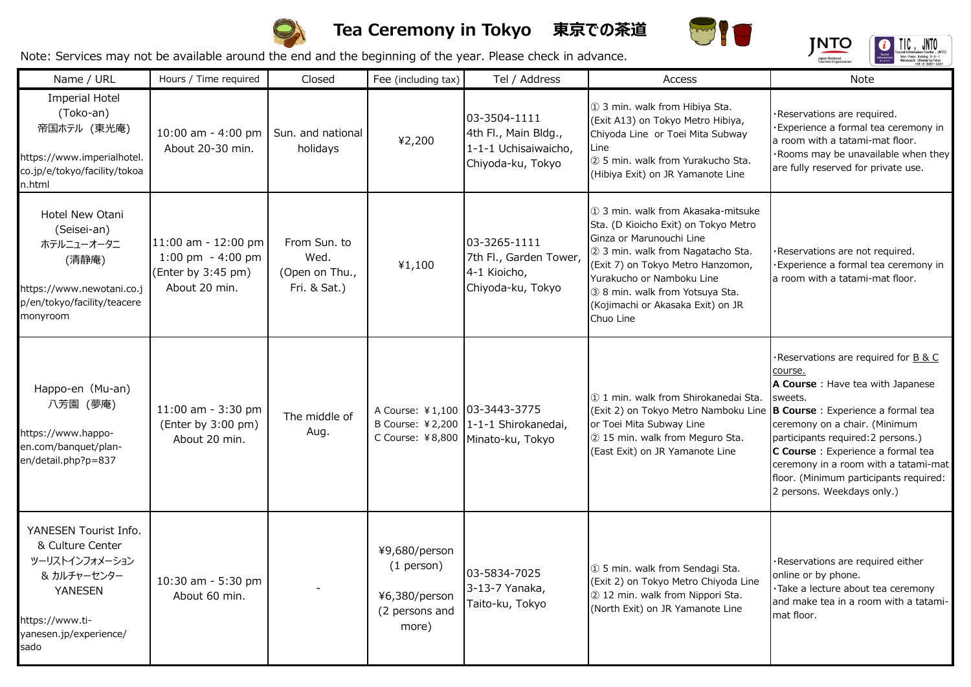

## **Tea Ceremony in Tokyo 東京での茶道**



**JNTO** 

 $\prod_{\text{Tourist Information Center, JNTO}} \prod_{\text{Shin-Tekyo Bulling 3-3-1}} \prod_{\text{Shin-Tekyo Bulling 3-3-1}} \prod_{\text{Barin-Tekyo Bufficient 23-301-321}} \prod_{\text{Barin}} \prod_{\text{Barin}}$ 

a

Note: Services may not be available around the end and the beginning of the year. Please check in advance.

Name / URL | Hours / Time required | Closed | Fee (including tax) | Tel / Address | Access | Access | Note

| <b>Imperial Hotel</b><br>(Toko-an)<br>帝国ホテル (東光庵)<br>https://www.imperialhotel.<br>co.jp/e/tokyo/facility/tokoa<br>n.html                         | 10:00 am - 4:00 pm<br>About 20-30 min.                                           | Sun. and national<br>holidays                          | ¥2,200                                                                    | 03-3504-1111<br>4th Fl., Main Bldg.,<br>1-1-1 Uchisaiwaicho,<br>Chiyoda-ku, Tokyo | 1 3 min. walk from Hibiya Sta.<br>(Exit A13) on Tokyo Metro Hibiya,<br>Chiyoda Line or Toei Mita Subway<br>Line<br>2 5 min. walk from Yurakucho Sta.<br>(Hibiya Exit) on JR Yamanote Line                                                                                                          | Reservations are required.<br>· Experience a formal tea ceremony in<br>a room with a tatami-mat floor.<br>·Rooms may be unavailable when they<br>are fully reserved for private use.                                                                                                                                                                              |
|---------------------------------------------------------------------------------------------------------------------------------------------------|----------------------------------------------------------------------------------|--------------------------------------------------------|---------------------------------------------------------------------------|-----------------------------------------------------------------------------------|----------------------------------------------------------------------------------------------------------------------------------------------------------------------------------------------------------------------------------------------------------------------------------------------------|-------------------------------------------------------------------------------------------------------------------------------------------------------------------------------------------------------------------------------------------------------------------------------------------------------------------------------------------------------------------|
| Hotel New Otani<br>(Seisei-an)<br>ホテルニューオータニ<br>(清静庵)<br>https://www.newotani.co.j<br>p/en/tokyo/facility/teacere<br>monyroom                     | 11:00 am - 12:00 pm<br>1:00 pm $-4:00$ pm<br>(Enter by 3:45 pm)<br>About 20 min. | From Sun, to<br>Wed.<br>(Open on Thu.,<br>Fri. & Sat.) | 41,100                                                                    | 03-3265-1111<br>7th Fl., Garden Tower,<br>4-1 Kioicho,<br>Chiyoda-ku, Tokyo       | 1 3 min. walk from Akasaka-mitsuke<br>Sta. (D Kioicho Exit) on Tokyo Metro<br>Ginza or Marunouchi Line<br>2 3 min. walk from Nagatacho Sta.<br>(Exit 7) on Tokyo Metro Hanzomon,<br>Yurakucho or Namboku Line<br>3 8 min. walk from Yotsuya Sta.<br>(Kojimachi or Akasaka Exit) on JR<br>Chuo Line | Reservations are not required.<br>Experience a formal tea ceremony in<br>a room with a tatami-mat floor.                                                                                                                                                                                                                                                          |
| Happo-en (Mu-an)<br>八芳園 (夢庵)<br>https://www.happo-<br>en.com/banquet/plan-<br>en/detail.php?p=837                                                 | 11:00 am - 3:30 pm<br>(Enter by 3:00 pm)<br>About 20 min.                        | The middle of<br>Aug.                                  | A Course: ¥1,100 03-3443-3775<br>B Course: ¥2,200                         | 1-1-1 Shirokanedai,<br>C Course: ¥8,800   Minato-ku, Tokyo                        | 11 min. walk from Shirokanedai Sta.<br>(Exit 2) on Tokyo Metro Namboku Line<br>or Toei Mita Subway Line<br>2 15 min. walk from Meguro Sta.<br>(East Exit) on JR Yamanote Line                                                                                                                      | ·Reservations are required for B & C<br>course.<br>A Course: Have tea with Japanese<br>sweets.<br>B Course : Experience a formal tea<br>ceremony on a chair. (Minimum<br>participants required: 2 persons.)<br>C Course : Experience a formal tea<br>ceremony in a room with a tatami-mat<br>floor. (Minimum participants required:<br>2 persons. Weekdays only.) |
| YANESEN Tourist Info.<br>& Culture Center<br>ツーリストインフォメーション<br>& カルチャーセンター<br><b>YANESEN</b><br>https://www.ti-<br>yanesen.jp/experience/<br>sado | 10:30 am - 5:30 pm<br>About 60 min.                                              |                                                        | ¥9,680/person<br>$(1$ person)<br>¥6,380/person<br>(2 persons and<br>more) | 03-5834-7025<br>3-13-7 Yanaka,<br>Taito-ku, Tokyo                                 | 1 5 min. walk from Sendagi Sta.<br>(Exit 2) on Tokyo Metro Chiyoda Line<br>2 12 min. walk from Nippori Sta.<br>(North Exit) on JR Yamanote Line                                                                                                                                                    | ·Reservations are required either<br>online or by phone.<br>·Take a lecture about tea ceremony<br>and make tea in a room with a tatami-<br>mat floor.                                                                                                                                                                                                             |